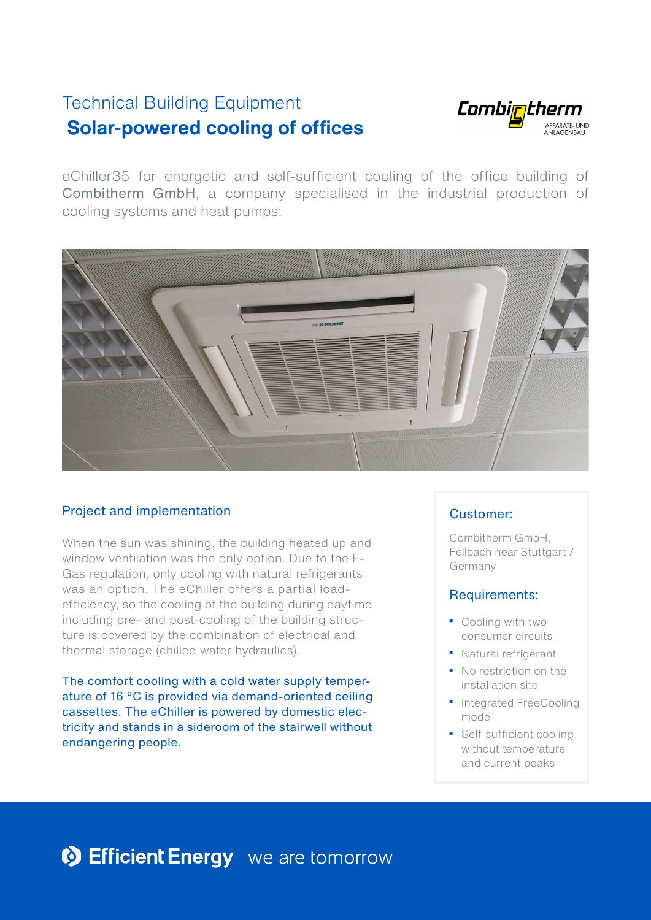# **Solar-powered cooling of offices** Technical Building Equipment



eChiller35 for energetic and self-sufficient cooling of the office building of Combitherm GmbH, a company specialised in the industrial production of cooling systems and heat pumps.



## Project and implementation

When the sun was shining, the building heated up and window ventilation was the only option. Due to the F-Gas regulation, only cooling with natural refrigerants was an option. The eChiller offers a partial loadefficiency, so the cooling of the building during daytime including pre- and post-cooling of the building structure is covered by the combination of electrical and thermal storage (chilled water hydraulics).

The comfort cooling with a cold water supply temperature of 16 °C is provided via demand-oriented ceiling cassettes. The eChiller is powered by domestic electricity and stands in a sideroom of the stairwell without endangering people.

### Customer:

Combitherm GmbH, Fellbach near Stuttgart / Germany

### Requirements:

- Cooling with two consumer circuits
- Natural refrigerant
- No restriction on the installation site
- Integrated FreeCooling mode
- Self-sufficient cooling without temperature and current peaks